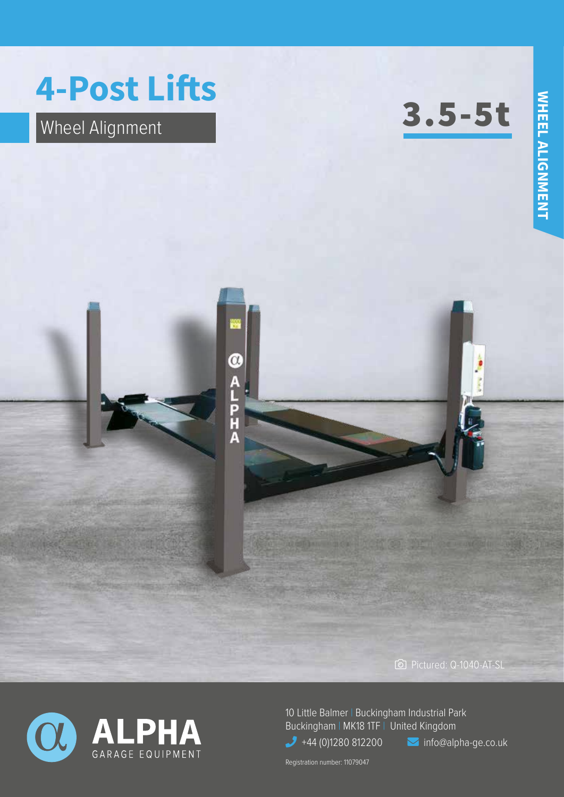## **4-Post Lifts**

## Wheel Alignment

3.5-5t





10 Little Balmer | Buckingham Industrial Park Buckingham | MK18 1TF | United Kingdom  $+44$  (0)1280 812200 **info@alpha-ge.co.uk** 

Registration number: 11079047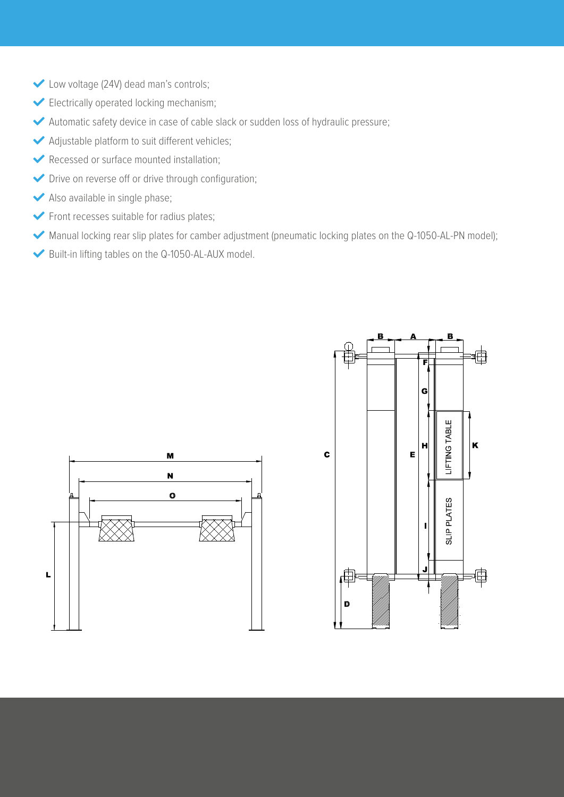- Low voltage (24V) dead man's controls;
- Electrically operated locking mechanism;
- Automatic safety device in case of cable slack or sudden loss of hydraulic pressure;
- Adjustable platform to suit different vehicles;
- Recessed or surface mounted installation;
- Drive on reverse off or drive through configuration;
- Also available in single phase;
- Front recesses suitable for radius plates;
- Manual locking rear slip plates for camber adjustment (pneumatic locking plates on the Q-1050-AL-PN model);
- Built-in lifting tables on the Q-1050-AL-AUX model.